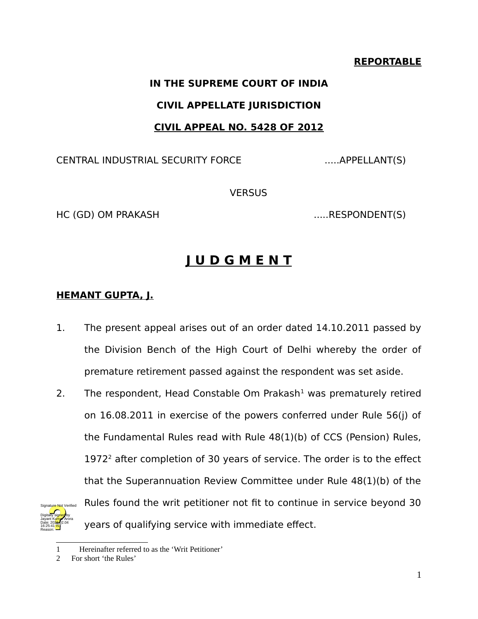#### **REPORTABLE**

# **IN THE SUPREME COURT OF INDIA CIVIL APPELLATE JURISDICTION CIVIL APPEAL NO. 5428 OF 2012**

CENTRAL INDUSTRIAL SECURITY FORCE .....APPELLANT(S)

VERSUS

HC (GD) OM PRAKASH ......RESPONDENT(S)

# **J U D G M E N T**

### **HEMANT GUPTA, J.**

- 1. The present appeal arises out of an order dated 14.10.2011 passed by the Division Bench of the High Court of Delhi whereby the order of premature retirement passed against the respondent was set aside.
- 2. The respondent, Head Constable Om Prakash $1$  was prematurely retired on 16.08.2011 in exercise of the powers conferred under Rule 56(j) of the Fundamental Rules read with Rule 48(1)(b) of CCS (Pension) Rules,  $1972<sup>2</sup>$  $1972<sup>2</sup>$  $1972<sup>2</sup>$  after completion of 30 years of service. The order is to the effect that the Superannuation Review Committee under Rule 48(1)(b) of the Rules found the writ petitioner not fit to continue in service beyond 30 years of qualifying service with immediate effect. Digitally signed by Jayant Kumar Arora Date: 2022.02.04 16:25:41<sup>1ST</sup> Reason: Signature Not Verified

<span id="page-0-1"></span><span id="page-0-0"></span>

<sup>2</sup> For short 'the Rules'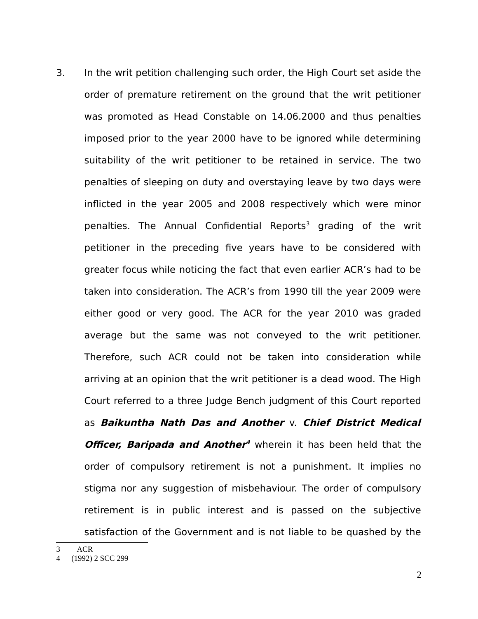3. In the writ petition challenging such order, the High Court set aside the order of premature retirement on the ground that the writ petitioner was promoted as Head Constable on 14.06.2000 and thus penalties imposed prior to the year 2000 have to be ignored while determining suitability of the writ petitioner to be retained in service. The two penalties of sleeping on duty and overstaying leave by two days were inflicted in the year 2005 and 2008 respectively which were minor penalties. The Annual Confidential Reports<sup>[3](#page-1-0)</sup> grading of the writ petitioner in the preceding five years have to be considered with greater focus while noticing the fact that even earlier ACR's had to be taken into consideration. The ACR's from 1990 till the year 2009 were either good or very good. The ACR for the year 2010 was graded average but the same was not conveyed to the writ petitioner. Therefore, such ACR could not be taken into consideration while arriving at an opinion that the writ petitioner is a dead wood. The High Court referred to a three Judge Bench judgment of this Court reported as **Baikuntha Nath Das and Another** v. **Chief District Medical Officer, Baripada and Another [4](#page-1-1)** wherein it has been held that the order of compulsory retirement is not a punishment. It implies no stigma nor any suggestion of misbehaviour. The order of compulsory retirement is in public interest and is passed on the subjective satisfaction of the Government and is not liable to be quashed by the

<span id="page-1-0"></span><sup>3</sup> ACR

<span id="page-1-1"></span><sup>4 (1992) 2</sup> SCC 299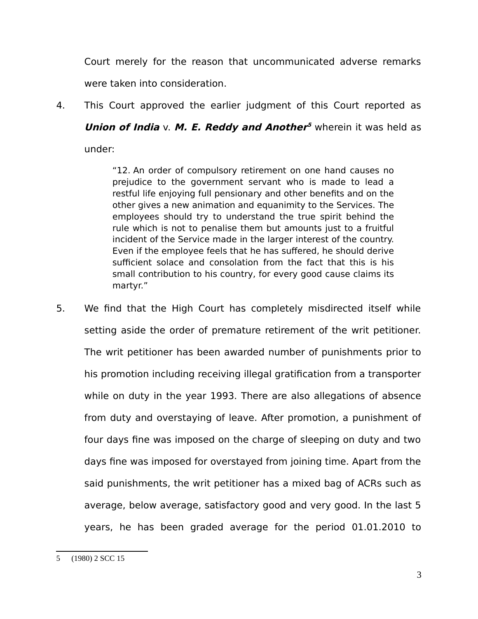Court merely for the reason that uncommunicated adverse remarks were taken into consideration.

4. This Court approved the earlier judgment of this Court reported as **Union of India** v. M. E. Reddy and Anothe[r](#page-2-0)<sup>5</sup> wherein it was held as

under:

"12. An order of compulsory retirement on one hand causes no prejudice to the government servant who is made to lead a restful life enjoying full pensionary and other benefits and on the other gives a new animation and equanimity to the Services. The employees should try to understand the true spirit behind the rule which is not to penalise them but amounts just to a fruitful incident of the Service made in the larger interest of the country. Even if the employee feels that he has suffered, he should derive sufficient solace and consolation from the fact that this is his small contribution to his country, for every good cause claims its martyr."

<span id="page-2-0"></span>5. We find that the High Court has completely misdirected itself while setting aside the order of premature retirement of the writ petitioner. The writ petitioner has been awarded number of punishments prior to his promotion including receiving illegal gratification from a transporter while on duty in the year 1993. There are also allegations of absence from duty and overstaying of leave. After promotion, a punishment of four days fine was imposed on the charge of sleeping on duty and two days fine was imposed for overstayed from joining time. Apart from the said punishments, the writ petitioner has a mixed bag of ACRs such as average, below average, satisfactory good and very good. In the last 5 years, he has been graded average for the period 01.01.2010 to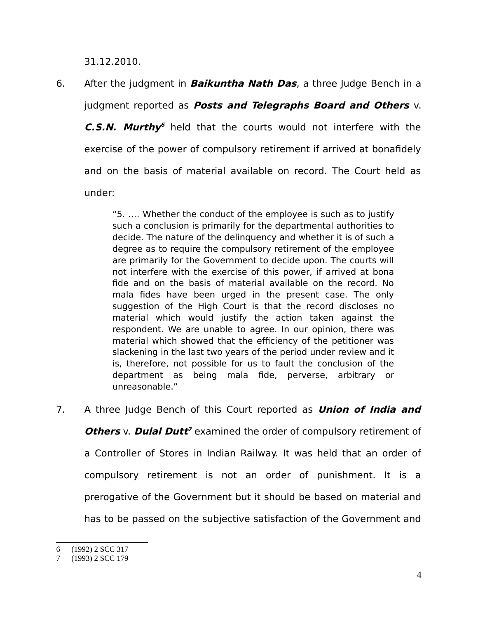31.12.2010.

6. After the judgment in **Baikuntha Nath Das**, a three Judge Bench in a judgment reported as **Posts and Telegraphs Board and Others** v. **C.S.N. Murth[y](#page-3-0)**<sup>6</sup> held that the courts would not interfere with the exercise of the power of compulsory retirement if arrived at bonafidely and on the basis of material available on record. The Court held as under:

> "5. …. Whether the conduct of the employee is such as to justify such a conclusion is primarily for the departmental authorities to decide. The nature of the delinquency and whether it is of such a degree as to require the compulsory retirement of the employee are primarily for the Government to decide upon. The courts will not interfere with the exercise of this power, if arrived at bona fide and on the basis of material available on the record. No mala fides have been urged in the present case. The only suggestion of the High Court is that the record discloses no material which would justify the action taken against the respondent. We are unable to agree. In our opinion, there was material which showed that the efficiency of the petitioner was slackening in the last two years of the period under review and it is, therefore, not possible for us to fault the conclusion of the department as being mala fide, perverse, arbitrary or unreasonable."

7. A three Judge Bench of this Court reported as **Union of India and Others** v. **Dulal Dutt<sup>[7](#page-3-1)</sup>** examined the order of compulsory retirement of a Controller of Stores in Indian Railway. It was held that an order of compulsory retirement is not an order of punishment. It is a prerogative of the Government but it should be based on material and has to be passed on the subjective satisfaction of the Government and

<span id="page-3-0"></span><sup>6 (1992) 2</sup> SCC 317

<span id="page-3-1"></span><sup>7 (1993) 2</sup> SCC 179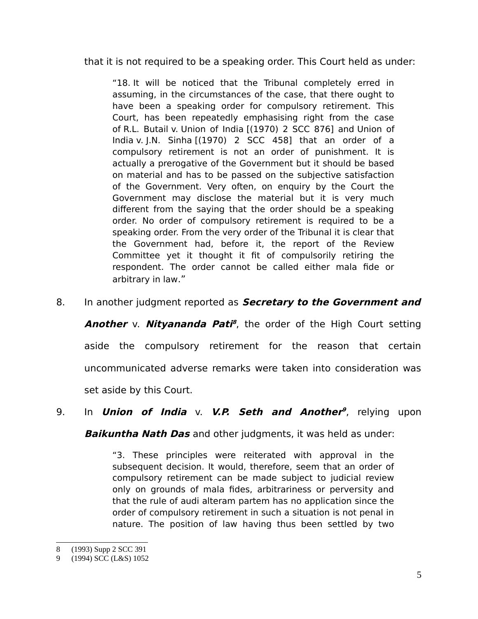that it is not required to be a speaking order. This Court held as under:

"18. It will be noticed that the Tribunal completely erred in assuming, in the circumstances of the case, that there ought to have been a speaking order for compulsory retirement. This Court, has been repeatedly emphasising right from the case of R.L. Butail v. Union of India [(1970) 2 SCC 876] and Union of India v. J.N. Sinha [(1970) 2 SCC 458] that an order of a compulsory retirement is not an order of punishment. It is actually a prerogative of the Government but it should be based on material and has to be passed on the subjective satisfaction of the Government. Very often, on enquiry by the Court the Government may disclose the material but it is very much different from the saying that the order should be a speaking order. No order of compulsory retirement is required to be a speaking order. From the very order of the Tribunal it is clear that the Government had, before it, the report of the Review Committee yet it thought it fit of compulsorily retiring the respondent. The order cannot be called either mala fide or arbitrary in law."

8. In another judgment reported as **Secretary to the Government and**

**Another** v. **Nityananda Pati<sup>[8](#page-4-0)</sup>**, the order of the High Court setting aside the compulsory retirement for the reason that certain uncommunicated adverse remarks were taken into consideration was set aside by this Court.

9. In **Union of India** v. **V.P. Seth and Another [9](#page-4-1)** , relying upon

**Baikuntha Nath Das** and other judgments, it was held as under:

"3. These principles were reiterated with approval in the subsequent decision. It would, therefore, seem that an order of compulsory retirement can be made subject to judicial review only on grounds of mala fides, arbitrariness or perversity and that the rule of audi alteram partem has no application since the order of compulsory retirement in such a situation is not penal in nature. The position of law having thus been settled by two

<span id="page-4-0"></span><sup>8 (1993)</sup> Supp 2 SCC 391

<span id="page-4-1"></span><sup>9 (1994)</sup> SCC (L&S) 1052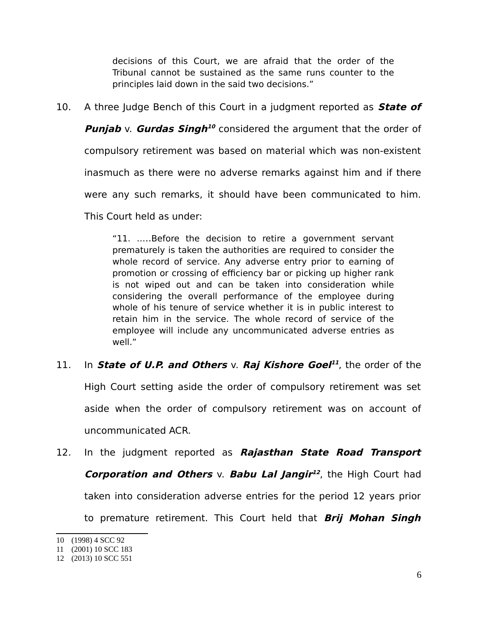decisions of this Court, we are afraid that the order of the Tribunal cannot be sustained as the same runs counter to the principles laid down in the said two decisions."

10. A three Judge Bench of this Court in a judgment reported as **State of**

**Punjab** v. Gurdas Singh<sup>[10](#page-5-0)</sup> considered the argument that the order of

compulsory retirement was based on material which was non-existent

inasmuch as there were no adverse remarks against him and if there

were any such remarks, it should have been communicated to him.

This Court held as under:

"11. …..Before the decision to retire a government servant prematurely is taken the authorities are required to consider the whole record of service. Any adverse entry prior to earning of promotion or crossing of efficiency bar or picking up higher rank is not wiped out and can be taken into consideration while considering the overall performance of the employee during whole of his tenure of service whether it is in public interest to retain him in the service. The whole record of service of the employee will include any uncommunicated adverse entries as well."

#### [11](#page-5-1). In State of U.P. and Others v. Raj Kishore Goel<sup>11</sup>, the order of the

High Court setting aside the order of compulsory retirement was set aside when the order of compulsory retirement was on account of uncommunicated ACR.

12. In the judgment reported as **Rajasthan State Road Transport Corporation and Others** v. **Babu Lal Jangir**<sup>[12](#page-5-2)</sup>, the High Court had taken into consideration adverse entries for the period 12 years prior to premature retirement. This Court held that **Brij Mohan Singh**

<span id="page-5-0"></span><sup>10 (1998) 4</sup> SCC 92

<span id="page-5-1"></span><sup>11 (2001) 10</sup> SCC 183

<span id="page-5-2"></span><sup>12 (2013) 10</sup> SCC 551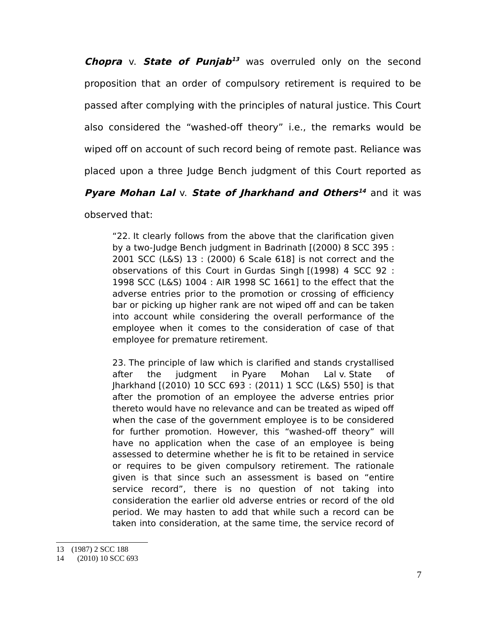**Chopra** v. **State of Punjab [13](#page-6-0)** was overruled only on the second proposition that an order of compulsory retirement is required to be passed after complying with the principles of natural justice. This Court also considered the "washed-off theory" i.e., the remarks would be wiped off on account of such record being of remote past. Reliance was placed upon a three Judge Bench judgment of this Court reported as

## **Pyare Mohan Lal** v. **State of Jharkhand and Others [14](#page-6-1)** and it was

observed that:

"22. It clearly follows from the above that the clarification given by a two-Judge Bench judgment in Badrinath [(2000) 8 SCC 395 : 2001 SCC (L&S) 13 : (2000) 6 Scale 618] is not correct and the observations of this Court in Gurdas Singh [(1998) 4 SCC 92 : 1998 SCC (L&S) 1004 : AIR 1998 SC 1661] to the effect that the adverse entries prior to the promotion or crossing of efficiency bar or picking up higher rank are not wiped off and can be taken into account while considering the overall performance of the employee when it comes to the consideration of case of that employee for premature retirement.

23. The principle of law which is clarified and stands crystallised after the judgment in Pyare Mohan Lal v. State of Jharkhand [(2010) 10 SCC 693 : (2011) 1 SCC (L&S) 550] is that after the promotion of an employee the adverse entries prior thereto would have no relevance and can be treated as wiped off when the case of the government employee is to be considered for further promotion. However, this "washed-off theory" will have no application when the case of an employee is being assessed to determine whether he is fit to be retained in service or requires to be given compulsory retirement. The rationale given is that since such an assessment is based on "entire service record", there is no question of not taking into consideration the earlier old adverse entries or record of the old period. We may hasten to add that while such a record can be taken into consideration, at the same time, the service record of

<span id="page-6-0"></span><sup>13 (1987) 2</sup> SCC 188

<span id="page-6-1"></span><sup>14 (2010) 10</sup> SCC 693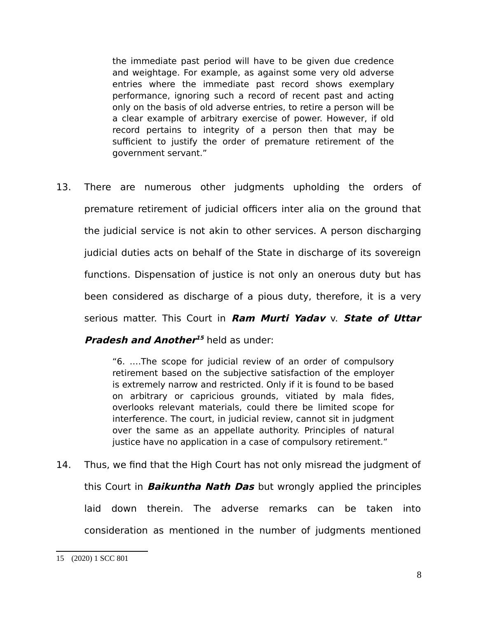the immediate past period will have to be given due credence and weightage. For example, as against some very old adverse entries where the immediate past record shows exemplary performance, ignoring such a record of recent past and acting only on the basis of old adverse entries, to retire a person will be a clear example of arbitrary exercise of power. However, if old record pertains to integrity of a person then that may be sufficient to justify the order of premature retirement of the government servant."

13. There are numerous other judgments upholding the orders of premature retirement of judicial officers inter alia on the ground that the judicial service is not akin to other services. A person discharging judicial duties acts on behalf of the State in discharge of its sovereign functions. Dispensation of justice is not only an onerous duty but has been considered as discharge of a pious duty, therefore, it is a very serious matter. This Court in **Ram Murti Yadav** v. **State of Uttar Pradesh and Another<sup>[15](#page-7-0)</sup> held as under:** 

> "6. ….The scope for judicial review of an order of compulsory retirement based on the subjective satisfaction of the employer is extremely narrow and restricted. Only if it is found to be based on arbitrary or capricious grounds, vitiated by mala fides, overlooks relevant materials, could there be limited scope for interference. The court, in judicial review, cannot sit in judgment over the same as an appellate authority. Principles of natural justice have no application in a case of compulsory retirement."

14. Thus, we find that the High Court has not only misread the judgment of this Court in **Baikuntha Nath Das** but wrongly applied the principles laid down therein. The adverse remarks can be taken into consideration as mentioned in the number of judgments mentioned

<span id="page-7-0"></span><sup>15 (2020) 1</sup> SCC 801